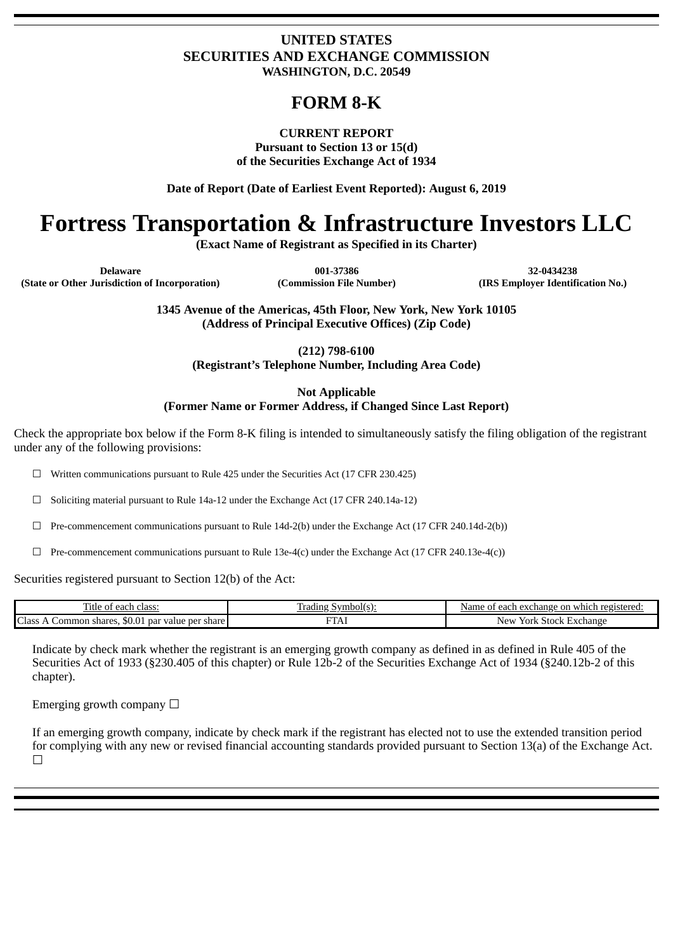# **UNITED STATES SECURITIES AND EXCHANGE COMMISSION WASHINGTON, D.C. 20549**

# **FORM 8-K**

# **CURRENT REPORT**

**Pursuant to Section 13 or 15(d) of the Securities Exchange Act of 1934**

**Date of Report (Date of Earliest Event Reported): August 6, 2019**

# **Fortress Transportation & Infrastructure Investors LLC**

**(Exact Name of Registrant as Specified in its Charter)**

**Delaware 001-37386 32-0434238 (State or Other Jurisdiction of Incorporation) (Commission File Number) (IRS Employer Identification No.)**

**1345 Avenue of the Americas, 45th Floor, New York, New York 10105 (Address of Principal Executive Offices) (Zip Code)**

**(212) 798-6100**

**(Registrant's Telephone Number, Including Area Code)**

**Not Applicable (Former Name or Former Address, if Changed Since Last Report)**

Check the appropriate box below if the Form 8-K filing is intended to simultaneously satisfy the filing obligation of the registrant under any of the following provisions:

 $\Box$  Written communications pursuant to Rule 425 under the Securities Act (17 CFR 230.425)

☐ Soliciting material pursuant to Rule 14a-12 under the Exchange Act (17 CFR 240.14a-12)

☐ Pre-commencement communications pursuant to Rule 14d-2(b) under the Exchange Act (17 CFR 240.14d-2(b))

 $\Box$  Pre-commencement communications pursuant to Rule 13e-4(c) under the Exchange Act (17 CFR 240.13e-4(c))

Securities registered pursuant to Section 12(b) of the Act:

| --<br>`each-<br>class:<br>. itle                                        | Symbol(s):<br>Tradıng<br>.<br>. . | registered<br>exchange on .<br>a which<br>each<br>Name<br>. nt |
|-------------------------------------------------------------------------|-----------------------------------|----------------------------------------------------------------|
| Ċ<br>. Jass<br>. par value per share l<br>shares.<br>. .ommon<br>.JU.UT | ---<br>TLT                        | . Exchange<br>Stock<br>New<br>York<br>ιn                       |

Indicate by check mark whether the registrant is an emerging growth company as defined in as defined in Rule 405 of the Securities Act of 1933 (§230.405 of this chapter) or Rule 12b-2 of the Securities Exchange Act of 1934 (§240.12b-2 of this chapter).

Emerging growth company  $\Box$ 

If an emerging growth company, indicate by check mark if the registrant has elected not to use the extended transition period for complying with any new or revised financial accounting standards provided pursuant to Section 13(a) of the Exchange Act. ☐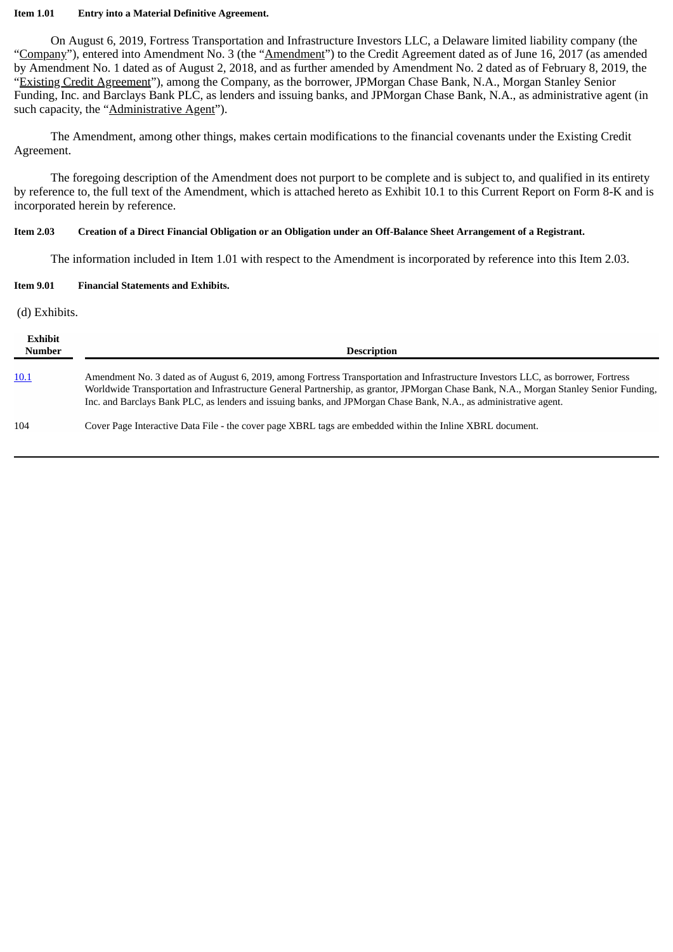#### **Item 1.01 Entry into a Material Definitive Agreement.**

On August 6, 2019, Fortress Transportation and Infrastructure Investors LLC, a Delaware limited liability company (the "Company"), entered into Amendment No. 3 (the "Amendment") to the Credit Agreement dated as of June 16, 2017 (as amended by Amendment No. 1 dated as of August 2, 2018, and as further amended by Amendment No. 2 dated as of February 8, 2019, the "Existing Credit Agreement"), among the Company, as the borrower, JPMorgan Chase Bank, N.A., Morgan Stanley Senior Funding, Inc. and Barclays Bank PLC, as lenders and issuing banks, and JPMorgan Chase Bank, N.A., as administrative agent (in such capacity, the "Administrative Agent").

The Amendment, among other things, makes certain modifications to the financial covenants under the Existing Credit Agreement.

The foregoing description of the Amendment does not purport to be complete and is subject to, and qualified in its entirety by reference to, the full text of the Amendment, which is attached hereto as Exhibit 10.1 to this Current Report on Form 8-K and is incorporated herein by reference.

#### Item 2.03 Creation of a Direct Financial Obligation or an Obligation under an Off-Balance Sheet Arrangement of a Registrant.

The information included in Item 1.01 with respect to the Amendment is incorporated by reference into this Item 2.03.

#### **Item 9.01 Financial Statements and Exhibits.**

#### (d) Exhibits.

| Exhibit<br><b>Number</b> | <b>Description</b>                                                                                                                                                                                                                                                                                                                                                                               |
|--------------------------|--------------------------------------------------------------------------------------------------------------------------------------------------------------------------------------------------------------------------------------------------------------------------------------------------------------------------------------------------------------------------------------------------|
| 10.1                     | Amendment No. 3 dated as of August 6, 2019, among Fortress Transportation and Infrastructure Investors LLC, as borrower, Fortress<br>Worldwide Transportation and Infrastructure General Partnership, as grantor, JPMorgan Chase Bank, N.A., Morgan Stanley Senior Funding,<br>Inc. and Barclays Bank PLC, as lenders and issuing banks, and JPMorgan Chase Bank, N.A., as administrative agent. |
| 104                      | Cover Page Interactive Data File - the cover page XBRL tags are embedded within the Inline XBRL document.                                                                                                                                                                                                                                                                                        |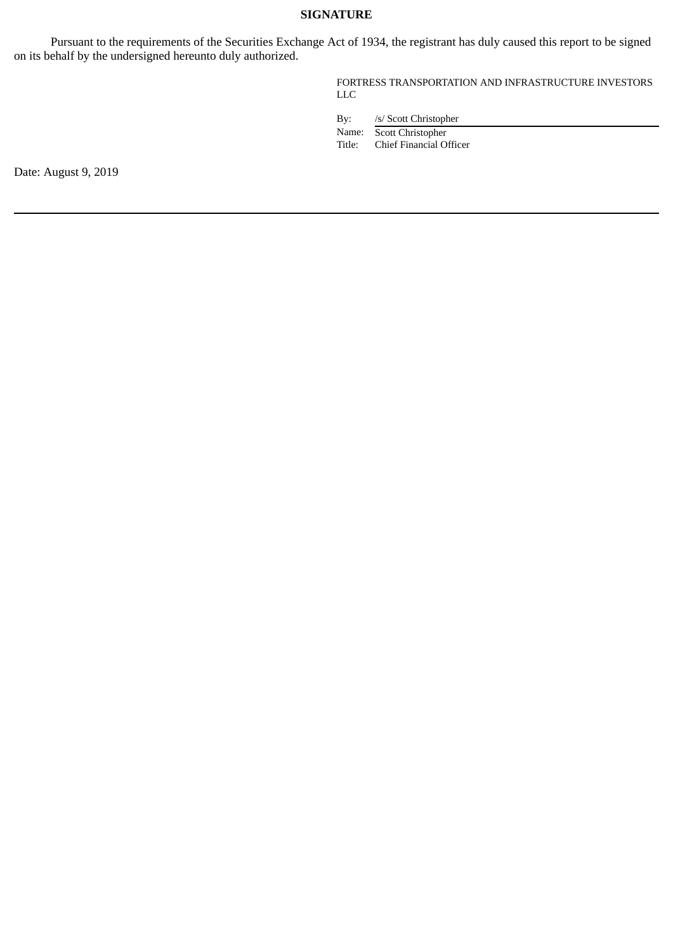## **SIGNATURE**

Pursuant to the requirements of the Securities Exchange Act of 1934, the registrant has duly caused this report to be signed on its behalf by the undersigned hereunto duly authorized.

> FORTRESS TRANSPORTATION AND INFRASTRUCTURE INVESTORS LLC

By: /s/ Scott Christopher

Name: Scott Christopher<br>Title: Chief Financial O Chief Financial Officer

Date: August 9, 2019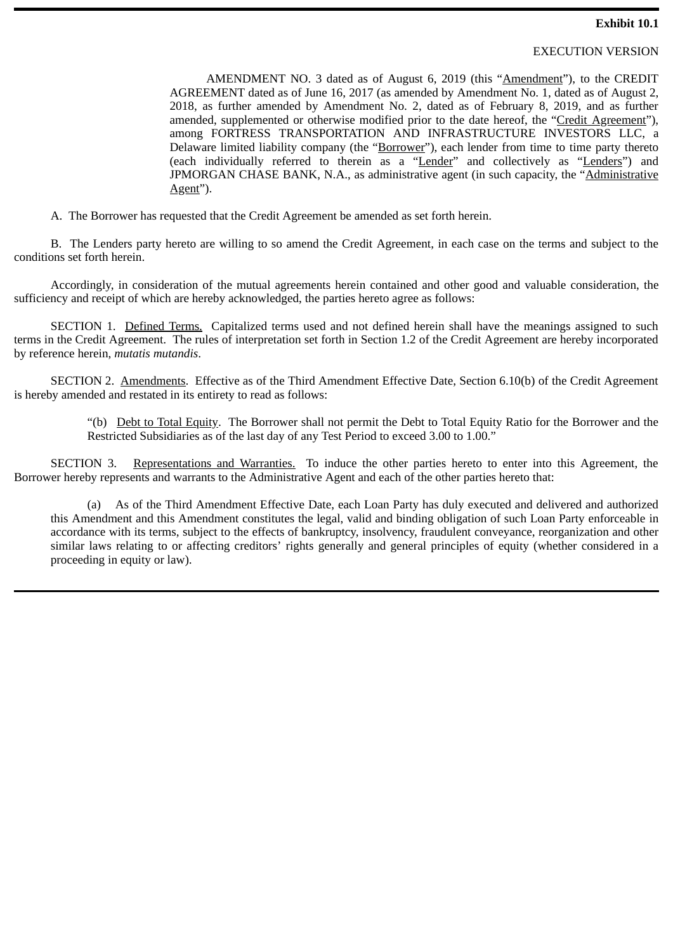### EXECUTION VERSION

<span id="page-3-0"></span>AMENDMENT NO. 3 dated as of August 6, 2019 (this "Amendment"), to the CREDIT AGREEMENT dated as of June 16, 2017 (as amended by Amendment No. 1, dated as of August 2, 2018, as further amended by Amendment No. 2, dated as of February 8, 2019, and as further amended, supplemented or otherwise modified prior to the date hereof, the "Credit Agreement"), among FORTRESS TRANSPORTATION AND INFRASTRUCTURE INVESTORS LLC, a Delaware limited liability company (the "Borrower"), each lender from time to time party thereto (each individually referred to therein as a "Lender" and collectively as "Lenders") and JPMORGAN CHASE BANK, N.A., as administrative agent (in such capacity, the "Administrative Agent").

A. The Borrower has requested that the Credit Agreement be amended as set forth herein.

B. The Lenders party hereto are willing to so amend the Credit Agreement, in each case on the terms and subject to the conditions set forth herein.

Accordingly, in consideration of the mutual agreements herein contained and other good and valuable consideration, the sufficiency and receipt of which are hereby acknowledged, the parties hereto agree as follows:

SECTION 1. Defined Terms. Capitalized terms used and not defined herein shall have the meanings assigned to such terms in the Credit Agreement. The rules of interpretation set forth in Section 1.2 of the Credit Agreement are hereby incorporated by reference herein, *mutatis mutandis*.

SECTION 2. Amendments. Effective as of the Third Amendment Effective Date, Section 6.10(b) of the Credit Agreement is hereby amended and restated in its entirety to read as follows:

> "(b) Debt to Total Equity. The Borrower shall not permit the Debt to Total Equity Ratio for the Borrower and the Restricted Subsidiaries as of the last day of any Test Period to exceed 3.00 to 1.00."

SECTION 3. Representations and Warranties. To induce the other parties hereto to enter into this Agreement, the Borrower hereby represents and warrants to the Administrative Agent and each of the other parties hereto that:

(a) As of the Third Amendment Effective Date, each Loan Party has duly executed and delivered and authorized this Amendment and this Amendment constitutes the legal, valid and binding obligation of such Loan Party enforceable in accordance with its terms, subject to the effects of bankruptcy, insolvency, fraudulent conveyance, reorganization and other similar laws relating to or affecting creditors' rights generally and general principles of equity (whether considered in a proceeding in equity or law).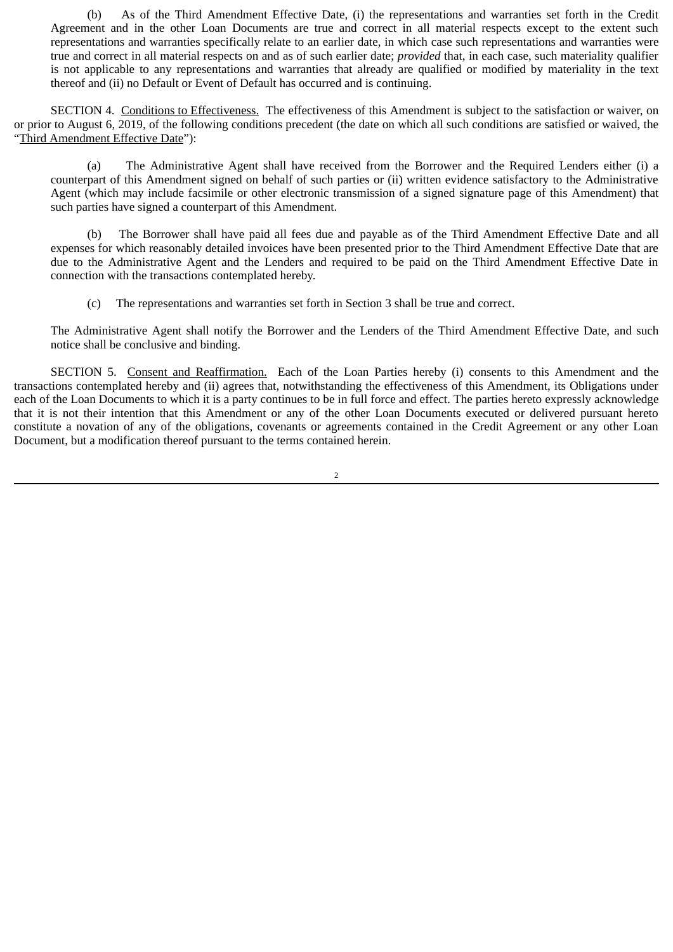(b) As of the Third Amendment Effective Date, (i) the representations and warranties set forth in the Credit Agreement and in the other Loan Documents are true and correct in all material respects except to the extent such representations and warranties specifically relate to an earlier date, in which case such representations and warranties were true and correct in all material respects on and as of such earlier date; *provided* that, in each case, such materiality qualifier is not applicable to any representations and warranties that already are qualified or modified by materiality in the text thereof and (ii) no Default or Event of Default has occurred and is continuing.

SECTION 4. Conditions to Effectiveness. The effectiveness of this Amendment is subject to the satisfaction or waiver, on or prior to August 6, 2019, of the following conditions precedent (the date on which all such conditions are satisfied or waived, the "Third Amendment Effective Date"):

(a) The Administrative Agent shall have received from the Borrower and the Required Lenders either (i) a counterpart of this Amendment signed on behalf of such parties or (ii) written evidence satisfactory to the Administrative Agent (which may include facsimile or other electronic transmission of a signed signature page of this Amendment) that such parties have signed a counterpart of this Amendment.

(b) The Borrower shall have paid all fees due and payable as of the Third Amendment Effective Date and all expenses for which reasonably detailed invoices have been presented prior to the Third Amendment Effective Date that are due to the Administrative Agent and the Lenders and required to be paid on the Third Amendment Effective Date in connection with the transactions contemplated hereby.

(c) The representations and warranties set forth in Section 3 shall be true and correct.

The Administrative Agent shall notify the Borrower and the Lenders of the Third Amendment Effective Date, and such notice shall be conclusive and binding.

SECTION 5. Consent and Reaffirmation. Each of the Loan Parties hereby (i) consents to this Amendment and the transactions contemplated hereby and (ii) agrees that, notwithstanding the effectiveness of this Amendment, its Obligations under each of the Loan Documents to which it is a party continues to be in full force and effect. The parties hereto expressly acknowledge that it is not their intention that this Amendment or any of the other Loan Documents executed or delivered pursuant hereto constitute a novation of any of the obligations, covenants or agreements contained in the Credit Agreement or any other Loan Document, but a modification thereof pursuant to the terms contained herein.

2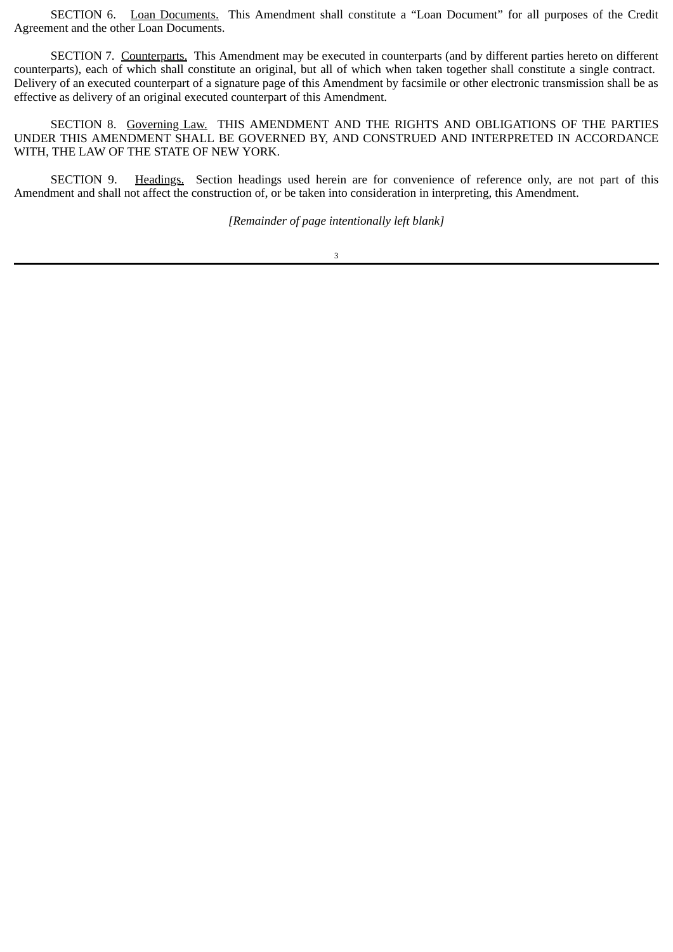SECTION 6. Loan Documents. This Amendment shall constitute a "Loan Document" for all purposes of the Credit Agreement and the other Loan Documents.

SECTION 7. Counterparts. This Amendment may be executed in counterparts (and by different parties hereto on different counterparts), each of which shall constitute an original, but all of which when taken together shall constitute a single contract. Delivery of an executed counterpart of a signature page of this Amendment by facsimile or other electronic transmission shall be as effective as delivery of an original executed counterpart of this Amendment.

SECTION 8. Governing Law. THIS AMENDMENT AND THE RIGHTS AND OBLIGATIONS OF THE PARTIES UNDER THIS AMENDMENT SHALL BE GOVERNED BY, AND CONSTRUED AND INTERPRETED IN ACCORDANCE WITH, THE LAW OF THE STATE OF NEW YORK.

SECTION 9. Headings. Section headings used herein are for convenience of reference only, are not part of this Amendment and shall not affect the construction of, or be taken into consideration in interpreting, this Amendment.

*[Remainder of page intentionally left blank]*

3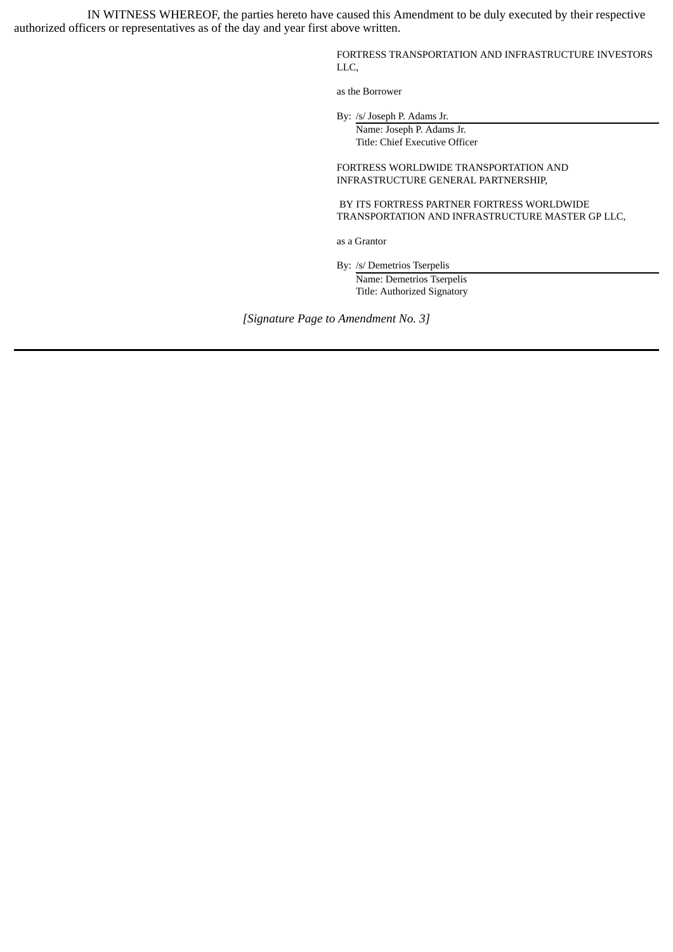IN WITNESS WHEREOF, the parties hereto have caused this Amendment to be duly executed by their respective authorized officers or representatives as of the day and year first above written.

> FORTRESS TRANSPORTATION AND INFRASTRUCTURE INVESTORS LLC,

as the Borrower

By: /s/ Joseph P. Adams Jr.

Name: Joseph P. Adams Jr. Title: Chief Executive Officer

FORTRESS WORLDWIDE TRANSPORTATION AND INFRASTRUCTURE GENERAL PARTNERSHIP,

BY ITS FORTRESS PARTNER FORTRESS WORLDWIDE TRANSPORTATION AND INFRASTRUCTURE MASTER GP LLC,

as a Grantor

By: /s/ Demetrios Tserpelis

Name: Demetrios Tserpelis Title: Authorized Signatory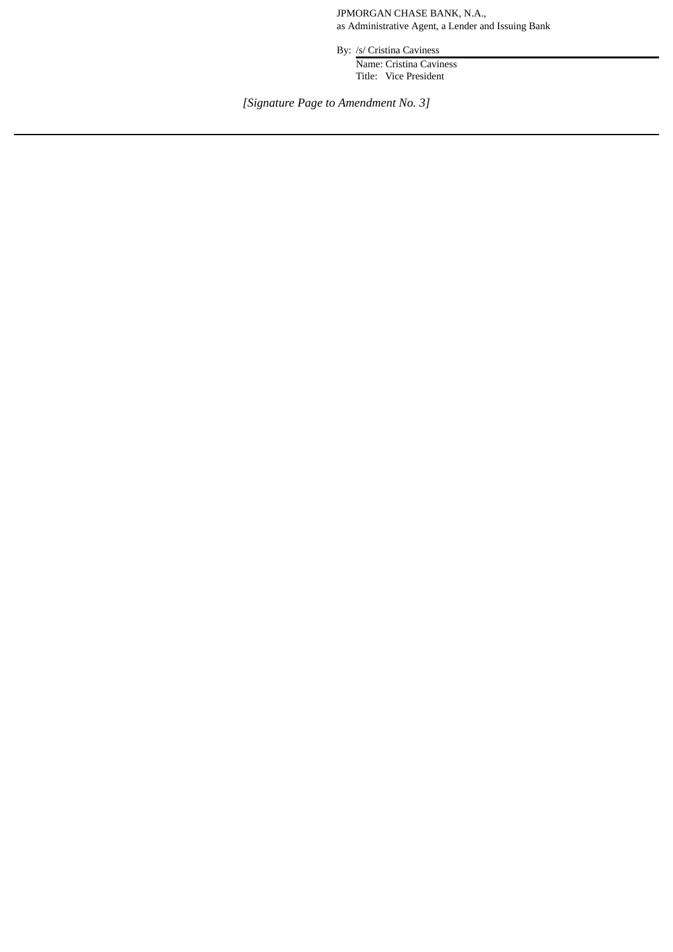JPMORGAN CHASE BANK, N.A., as Administrative Agent, a Lender and Issuing Bank

By: /s/ Cristina Caviness

Name: Cristina Caviness Title: Vice President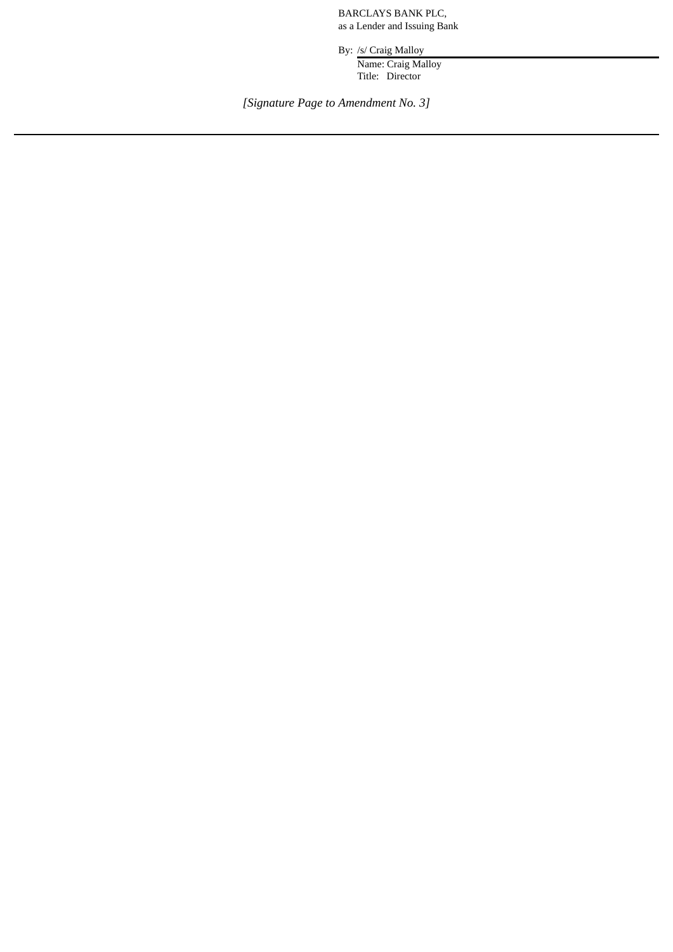BARCLAYS BANK PLC, as a Lender and Issuing Bank

By: /s/ Craig Malloy

Name: Craig Malloy Title: Director